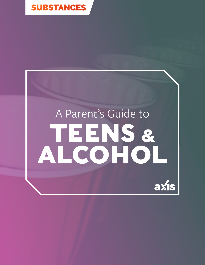

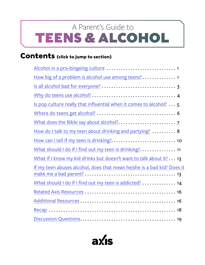# <span id="page-1-0"></span>TEENS & ALCOHOL A Parent's Guide to

### **Contents (click to jump to section)**

| How big of a problem is alcohol use among teens? 1                     |
|------------------------------------------------------------------------|
|                                                                        |
|                                                                        |
| Is pop culture really that influential when it comes to alcohol? 5     |
|                                                                        |
|                                                                        |
| How do I talk to my teen about drinking and partying?  8               |
|                                                                        |
| What should I do if I find out my teen is drinking? 11                 |
| What if I know my kid drinks but doesn't want to talk about it? 13     |
| If my teen abuses alcohol, does that mean he/she is a bad kid? Does it |
| What should I do if I find out my teen is addicted?  14                |
|                                                                        |
|                                                                        |
|                                                                        |
|                                                                        |

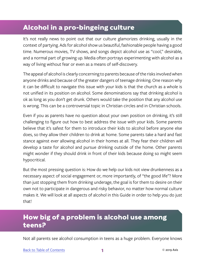# <span id="page-2-0"></span>**Alcohol in a pro-bingeing culture**

It's not really news to point out that our culture glamorizes drinking, usually in the context of partying. Ads for alcohol show us beautiful, fashionable people having a good time. Numerous movies, TV shows, and songs depict alcohol use as "cool," desirable, and a normal part of growing up. Media often portrays experimenting with alcohol as a way of living without fear or even as a means of self-discovery.

The appeal of alcohol is clearly concerning to parents because of the risks involved when anyone drinks and because of the greater dangers of teenage drinking. One reason why it can be difficult to navigate this issue with your kids is that the church as a whole is not unified in its position on alcohol. Some denominations say that drinking alcohol is ok as long as you don't get drunk. Others would take the position that any alcohol use is wrong. This can be a controversial topic in Christian circles and in Christian schools.

Even if you as parents have no question about your own position on drinking, it's still challenging to figure out how to best address the issue with your kids. Some parents believe that it's safest for them to introduce their kids to alcohol before anyone else does, so they allow their children to drink at home. Some parents take a hard and fast stance against ever allowing alcohol in their homes at all. They fear their children will develop a taste for alcohol and pursue drinking outside of the home. Other parents might wonder if they should drink in front of their kids because doing so might seem hypocritical.

But the most pressing question is: How do we help our kids not view drunkenness as a necessary aspect of social engagement or, more importantly, of "the good life"? More than just stopping them from drinking underage, the goal is for them to desire on their own not to participate in dangerous and risky behavior, no matter how normal culture makes it. We will look at all aspects of alcohol in this Guide in order to help you do just that!

# **How big of a problem is alcohol use among teens?**

Not all parents see alcohol consumption in teens as a huge problem. Everyone knows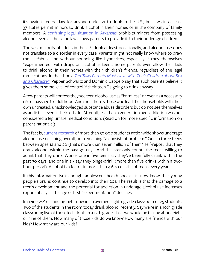it's against federal law for anyone under 21 to drink in the U.S., but laws in at least 37 states permit minors to drink alcohol in their homes or in the company of family members. A [confusing legal situation in Arkansas](https://www.washingtonpost.com/news/wonk/wp/2016/05/18/where-teenagers-can-legally-drink-in-the-u-s-yes-really/?utm_term=.61dfe3a7a60d) prohibits minors from possessing alcohol even as the same law allows parents to provide it to their underage children.

The vast majority of adults in the U.S. drink at least occasionally, and alcohol use does not translate to a disorder in every case. Parents might not really know where to draw the use/abuse line without sounding like hypocrites, especially if they themselves "experimented" with drugs or alcohol as teens. Some parents even allow their kids to drink alcohol in their homes with their children's friends, regardless of the legal ramifications. In their book, *[Ten Talks Parents Must Have with Their Children about Sex](https://www.amazon.com/Talks-Parents-Their-Children-Character/dp/0786885483) [and Character](https://www.amazon.com/Talks-Parents-Their-Children-Character/dp/0786885483)*, Pepper Schwartz and Dominic Cappelo say that such parents believe it gives them some level of control if their teen "is going to drink anyway."

A few parents will confess they see teen alcohol use as "harmless" or even as a necessary rite of passage to adulthood. And then there's those who lead their households with their own untreated, unacknowledged substance abuse disorders but do not see themselves as addicts—even if their kids do. After all, less than a generation ago, addiction was not considered a legitimate medical condition. (Read on for more specific information on parent rationale.)

The fact is, [current research](https://www.responsibility.org/get-the-facts/research/statistics/underage-drinking-statistics/) of more than 50,000 students nationwide shows underage alcohol use declining overall, but remaining "a consistent problem." One in three teens between ages 12 and 20 (that's more than seven million of them) self-report that they drank alcohol within the past 30 days. And this stat only counts the teens willing to admit that they drink. Worse, one in five teens say they've been fully drunk within the past 30 days, and one in six say they binge-drink (more than five drinks within a twohour period). Alcohol is a factor in more than 4,600 deaths of teens every year.

If this information isn't enough, adolescent health specialists now know that young people's brains continue to develop into their 20s. The result is that the damage to a teen's development and the potential for addiction in underage alcohol use increases exponentially as the age of first "experimentation" declines.

Imagine we're standing right now in an average eighth-grade classroom of 25 students. Two of the students in the room today drank alcohol recently. Say we're in a 10th grade classroom; five of those kids drink. In a 12th grade class, we would be talking about eight or nine of them. How many of those kids do we know? How many are friends with our kids? How many are our kids?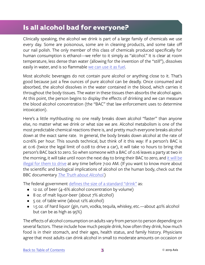#### <span id="page-4-0"></span>**Is all alcohol bad for everyone?**

Clinically speaking, the alcohol we drink is part of a large family of chemicals we use every day. Some are poisonous, some are in cleaning products, and some take off our nail polish. The only member of this class of chemicals produced specifically for human consumption is ethanol—we refer to it simply as "alcohol." It is clear at room temperature, less dense than water (allowing for the invention of the "still"), dissolves easily in water, and is so flammable [we can use it as fuel.](https://science.howstuffworks.com/alcohol.htm)

Most alcoholic beverages do not contain pure alcohol or anything close to it. That's good because just a few ounces of pure alcohol can be deadly. Once consumed and absorbed, the alcohol dissolves in the water contained in the blood, which carries it throughout the body tissues. The water in these tissues then absorbs the alcohol again. At this point, the person begins to display the effects of drinking and we can measure the blood alcohol concentration (the "BAC" that law enforcement uses to determine intoxication).

Here's a little mythbusting: no one really breaks down alcohol "faster" than anyone else, no matter what we drink or what size we are. Alcohol metabolism is one of the most predictable chemical reactions there is, and pretty much everyone breaks alcohol down at the exact same rate. In general, the body breaks down alcohol at the rate of 0.016% per hour. This sounds technical, but think of it this way: If a person's BAC is at 0.16 (twice the legal limit of 0.08 to drive a car), it will take 10 hours to bring that person's BAC back to zero. So when someone with a BAC of 0.16 leaves a party at two in the morning, it will take until noon the next day to bring their BAC to zero, and [it will be](http://www.drinkfox.com/information/alcohol-metabolism) [illegal for them to drive](http://www.drinkfox.com/information/alcohol-metabolism) at any time before 7:00 AM. (If you want to know more about the scientific and biological implications of alcohol on the human body, check out the BBC documentary *[The Truth about Alcohol](https://www.youtube.com/watch?v=PNq-JcVlYD4)*.)

The federal government [defines the size of a standard "drink"](https://teens.drugabuse.gov/drug-facts/alcohol) as:

- 12 oz. of beer (4–6% alcohol concentration by volume)
- 8 oz. of malt liquor-beer (about 7% alcohol)
- 5 oz. of table wine (about 12% alcohol)
- 1.5 oz. of hard liquor (gin, rum, vodka, tequila, whiskey, etc.—about 40% alcohol but can be as high as 95%)

The effects of alcohol consumption on adults vary from person to person depending on several factors. These include how much people drink, how often they drink, how much food is in their stomach, and their ages, health status, and family history. Physicians agree that most adults can drink alcohol in small to moderate amounts on occasion or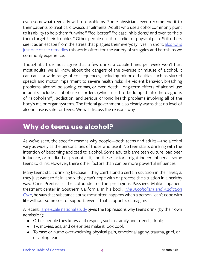<span id="page-5-0"></span>even somewhat regularly with no problems. Some physicians even recommend it to their patients to treat cardiovascular ailments. Adults who use alcohol commonly point to its ability to help them "unwind," "feel better," "release inhibitions," and even to "help them forget their troubles." Other people use it for relief of physical pain. Still others see it as an escape from the stress that plagues their everyday lives. In short, [alcohol is](https://www.niaaa.nih.gov/alcohol-health/overview-alcohol-consumption) [just one of the remedies](https://www.niaaa.nih.gov/alcohol-health/overview-alcohol-consumption) this world offers for the variety of struggles and hardships we commonly experience.

Though it's true most agree that a few drinks a couple times per week won't hurt most adults, we all know about the dangers of the overuse or misuse of alcohol. It can cause a wide range of consequences, including minor difficulties such as slurred speech and motor impairment to severe health risks like violent behavior, breathing problems, alcohol poisoning, comas, or even death. Long-term effects of alcohol use in adults include alcohol use disorders (which used to be lumped into the diagnosis of "alcoholism"), addiction, and serious chronic health problems involving all of the body's major organ systems. The federal government also clearly warns that no level of alcohol use is safe for teens. We will discuss the reasons why.

#### **Why do teens use alcohol?**

As we've seen, the specific reasons why people—both teens and adults—use alcohol vary as widely as the personalities of those who use it. No teen starts drinking with the intention of becoming addicted to alcohol. Some adults blame teen culture, bad peer influence, or media that promotes it, and these factors might indeed influence some teens to drink. However, there other factors than can be more powerful influences.

Many teens start drinking because 1. they can't stand a certain situation in their lives; 2. they just want to fit in; and 3. they can't cope with or process the situation in a healthy way. Chris Prentiss is the cofounder of the prestigious Passages Malibu inpatient treatment center in Southern California. In his book, *[The Alcoholism and Addiction](https://www.amazon.com/Alcoholism-Addiction-Cure-Holistic-Approach/dp/0943015448) [Cure](https://www.amazon.com/Alcoholism-Addiction-Cure-Holistic-Approach/dp/0943015448)*, he says that substance abuse most often happens when a person "can't cope with life without some sort of support, even if that support is damaging."

A recent, *large-scale national study gives the top reasons why teens drink (by their own* admission):

- Other people they know and respect, such as family and friends, drink;
- TV, movies, ads, and celebrities make it look cool;
- To ease or numb overwhelming physical pain, emotional agony, trauma, grief, or disabling fear;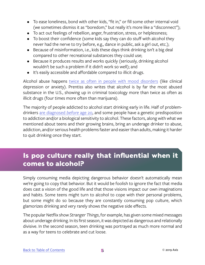- <span id="page-6-0"></span>• To ease loneliness, bond with other kids, "fit in," or fill some other internal void (we sometimes dismiss it as "boredom," but really it's more like a "disconnect");
- To act out feelings of rebellion, anger, frustration, stress, or helplessness;
- To boost their confidence (some kids say they can do stuff with alcohol they never had the nerve to try before, e.g., dance in public, ask a girl out, etc.);
- Because of misinformation, i.e., kids these days think drinking isn't a big deal compared to other recreational substances they could use;
- Because it produces results and works quickly (seriously, drinking alcohol wouldn't be such a problem if it didn't work so well); and
- It's easily accessible and affordable compared to illicit drugs.

Alcohol abuse happens [twice as often in people with mood disorders](https://www.drugabuse.gov/sites/default/files/rrcomorbidity.pdf) (like clinical depression or anxiety). Prentiss also writes that alcohol is by far the most abused substance in the U.S., showing up in criminal toxicology more than twice as often as illicit drugs (four times more often than marijuana).

The majority of people addicted to alcohol start drinking early in life. Half of problemdrinkers [are diagnosed](https://www.cbsnews.com/news/study-finds-5-types-of-alcoholics/) *before* age 20, and some people have a genetic predisposition to addiction and/or a biological sensitivity to alcohol. These factors, along with what we mentioned about teens and their growing brains, bring an underage drinker to abuse, addiction, and/or serious health problems faster and easier than adults, making it harder to quit drinking once they start.

### **Is pop culture really that influential when it comes to alcohol?**

Simply consuming media depicting dangerous behavior doesn't automatically mean we're going to copy that behavior. But it would be foolish to ignore the fact that media does cast a vision of the good life and that those visions impact our own imaginations and habits. Some teens might turn to alcohol to cope with their personal problems, but some might do so because they are constantly consuming pop culture, which glamorizes drinking and very rarely shows the negative side effects.

The popular Netflix show *Stranger Things*, for example, has given some mixed messages about underage drinking. In its first season, it was depicted as dangerous and relationally divisive. In the second season, teen drinking was portrayed as much more normal and as a way for teens to celebrate and cut loose.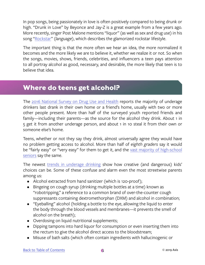<span id="page-7-0"></span>In pop songs, being passionately in love is often positively compared to being drunk or high. "Drunk in Love" by Beyonce and Jay-Z is a great example from a few years ago. More recently, singer Post Malone mentions "liquor" (as well as sex and drug use) in his song ["Rockstar"](https://genius.com/Post-malone-rockstar-lyrics) (*language*), which describes the glamorized rockstar lifestyle.

The important thing is that the more often we hear an idea, the more normalized it becomes and the more likely we are to believe it, whether we realize it or not. So when the songs, movies, shows, friends, celebrities, and influencers a teen pays attention to all portray alcohol as good, necessary, and desirable, the more likely that teen is to believe that idea.

#### **Where do teens get alcohol?**

The [2016 National Survey on Drug Use and Health](https://www.samhsa.gov/samhsa-data-outcomes-quality/major-data-collections/reports-detailed-tables-2016-NSDUH) reports the majority of underage drinkers last drank in their own home or a friend's home, usually with two or more other people present. More than half of the surveyed youth reported friends and family—including their parents—as the source for the alcohol they drink. About 1 in 5 get it from another underage person, and about 1 in 10 steal it from their own or someone else's home.

Teens, whether or not they say they drink, almost universally agree they would have no problem getting access to alcohol. More than half of *eighth graders* say it would be "fairly easy" or "very easy" for them to get it, and the [vast majority of high-school](https://www.responsibility.org/get-the-facts/research/statistics/underage-drinking-statistics/) [seniors](https://www.responsibility.org/get-the-facts/research/statistics/underage-drinking-statistics/) say the same.

The newest [trends in underage drinking](https://drugabuse.com/what-are-the-current-substance-addiction-trends-among-teens-today/) show how creative (and dangerous) kids' choices can be. Some of these confuse and alarm even the most streetwise parents among us:

- Alcohol extracted from hand sanitizer (which is 120-proof);
- Bingeing on cough syrup (drinking multiple bottles at a time) known as "robotripping," a reference to a common brand of over-the-counter cough suppressants containing dextromethorphan (DXM) and alcohol in combination;
- "Eyeballing" alcohol (holding a bottle to the eye, allowing the liquid to enter the body through the blood vessels and membranes—it prevents the smell of alcohol on the breath);
- Overdosing on liquid nutritional supplements;
- Dipping tampons into hard liquor for consumption or even inserting them into the rectum to give the alcohol direct access to the bloodstream;
- Misuse of bath salts (which often contain ingredients with hallucinogenic or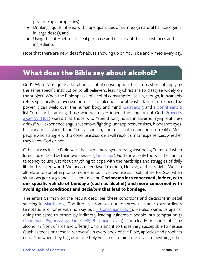psychotropic properties);

- <span id="page-8-0"></span>• Drinking liquids infused with huge quantities of nutmeg (a natural hallucinogenic in large doses); and
- Using the Internet to conceal purchase and delivery of these substances and ingredients.

Note that there are new ideas for abuse showing up on YouTube and Vimeo every day.

#### **What does the Bible say about alcohol?**

God's Word talks quite a bit about alcohol consumption, but stops short of applying the same specific instruction to all believers, leaving Christians to disagree widely on the subject. When the Bible speaks of alcohol consumption as sin, though, it invariably refers specifically to overuse or misuse of alcohol—or at least a failure to respect the power it can wield over the human body and mind. [Galatians 5](https://www.biblegateway.com/passage/?search=Galatians+5&version=NIV) and [1 Corinthians 6](https://www.biblegateway.com/passage/?search=1+cor+6&version=NIV) list "drunkards" among those who will never inherit the kingdom of God. [Proverbs](https://www.biblegateway.com/passage/?search=prov+23%3A29-35&version=NLT)  [23:29-35 \(NLT\)](https://www.biblegateway.com/passage/?search=prov+23%3A29-35&version=NLT) warns that those who "spend long hours in taverns trying out new drinks" will experience anguish, sorrow, fighting, unhappiness, bruises, bloodshot eyes, hallucinations, slurred and "crazy" speech, and a lack of connection to reality. Most people who struggle with alcohol use disorders will report similar experiences, whether they know God or not.

Other places in the Bible warn believers more generally against being "tempted when lured and enticed by their own desire" ([James 1:14\)](https://www.biblegateway.com/passage/?search=james+1%3A14&version=NIV). God knows only too well the human tendency to use just about anything to cope with the hardships and struggles of daily life in this fallen world. We become enslaved to them, He says, and He's right. We can all relate to something or someone in our lives we use as a substitute for God when situations get rough and He seems absent. **God seems less concerned, in fact, with our specific vehicle of bondage (such as alcohol) and more concerned with avoiding the** *conditions* **and** *decisions* **that lead to bondage.** 

The entire Sermon on the Mount describes these conditions and decisions in detail starting in [Matthew 5](https://www.biblegateway.com/passage/?search=matt+5&version=NIV). God literally promises not to throw us under extraordinary temptations or ones with no way out  $(1$  Corinthians 10:13). He also warns us against doing the same to others by indirectly leading vulnerable people into temptation [\(1](https://www.biblegateway.com/passage/?search=1+cor+8%3A9&version=NIV)  [Corinthians 8:9](https://www.biblegateway.com/passage/?search=1+cor+8%3A9&version=NIV), [10:23–33](https://www.biblegateway.com/passage/?search=1+cor+10%3A23-33&version=NIV); [James 2:8;](https://www.biblegateway.com/passage/?search=james+2%3A8&version=NIV) [Philippians 2:3–4\)](https://www.biblegateway.com/passage/?search=phil+2%3A3-4&version=NIV). This clearly precludes abusing alcohol in front of kids and offering or praising it to those very susceptible to misuse (such as teens or those in recovery). In every book of the Bible, apostles and prophets echo God when they beg us in one holy voice not to bind ourselves to anything other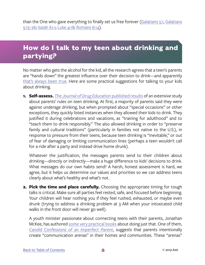<span id="page-9-0"></span>than the One who gave everything to finally set us free forever [\(Galatians 5:1](https://www.biblegateway.com/passage/?search=gal+5%3A1&version=NIV), [Galatians](https://www.biblegateway.com/passage/?search=gal+5%3A13-26&version=NIV) [5:13–26](https://www.biblegateway.com/passage/?search=gal+5%3A13-26&version=NIV); [Isaiah 61:1](https://www.biblegateway.com/passage/?search=isaiah+61%3A1&version=NIV); [Luke 4:18](https://www.biblegateway.com/passage/?search=luke+4%3A18&version=NIV); [Romans 6:14\)](https://www.biblegateway.com/passage/?search=rom+6%3A14&version=NIV).

## **How do I talk to my teen about drinking and partying?**

No matter who gets the alcohol for the kid, all the research agrees that a teen's parents are "hands down" the greatest influence over their decision to drink—and apparently [that's always been true.](https://www.responsibility.org/get-the-facts/research/statistics/underage-drinking-statistics/) Here are some practical suggestions for talking to your kids about drinking.

**1. Self-assess.** *[The Journal of Drug Education](https://www.ncbi.nlm.nih.gov/pmc/articles/PMC4095821/)* published results of an extensive study about parents' rules on teen drinking. At first, a majority of parents said they were against underage drinking, but when prompted about "special occasions" or other exceptions, they quickly listed instances when they allowed their kids to drink. They justified it during celebrations and vacations, as "training for adulthood" and to "teach them to drink responsibly." The also allowed drinking in order to "preserve family and cultural traditions" (particularly in families not native to the U.S.), in response to pressure from their teens, because teen drinking is "inevitable," or out of fear of damaging or limiting communication lines (perhaps a teen wouldn't call for a ride after a party and instead drive home drunk).

Whatever the justification, the messages parents send to their children about drinking—directly or indirectly—make a huge difference to kids' decisions to drink. What messages do our own habits send? A harsh, honest assessment is hard, we agree, but it helps us determine our values and priorities so we can address teens clearly about what's healthy and what's not.

**2. Pick the time and place carefully.** Choosing the appropriate timing for tough talks is critical. Make sure all parties feel rested, safe, and focused before beginning. Your children will hear nothing you if they feel rushed, exhausted, or maybe even drunk (trying to address a drinking problem at 3 AM when your intoxicated child walks in the front door will never go well).

A youth minister passionate about connecting teens with their parents, Jonathan McKee, has authored [some very practical books](http://www.jonathansresources.com/ProductList.aspx) about doing just that. One of them, *[Candid Confessions of an Imperfect Parent](https://www.amazon.com/Candid-Confessions-Imperfect-Parent-Relationships/dp/0784731845/ref=sr_1_1?ie=UTF8&qid=1518715907&sr=8-1&keywords=candid+confessions+of+an+imperfect+parenting)*, suggests that parents intentionally create "communication arenas" in their homes and communities. These "arenas"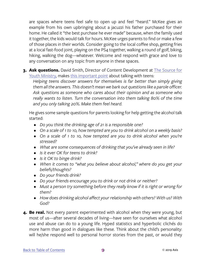are spaces where teens feel safe to open up and feel "heard." McKee gives an example from his own upbringing about a jacuzzi his father purchased for their home. He called it "the best purchase he ever made" because, when the family used it together, the kids would talk for hours. McKee urges parents to find or make a few of those places in their worlds. Consider going to the local coffee shop, getting fries at a local fast-food joint, playing on the PS4 together, walking a round of golf, biking, hiking, walking the dog—whatever. Welcome and respond with grace and love to any conversation on any topic from anyone in these spaces.

**3. Ask questions.** David Smith, Director of Content Development at [The Source for](http://TheSource4YM.com) [Youth Ministry,](http://TheSource4YM.com) makes [this important point](https://churchleaders.com/youth/youth-leaders-articles/152984-liquor-and-lip-gloss-alcohol-s-affect-on-young-girls.html) about talking with teens:

*Helping teens discover answers for themselves is far better than simply giving them all the answers. This doesn't mean we bark out questions like a parole officer. Ask questions as someone who cares about their opinion and as someone who really wants to listen. Turn the conversation into them talking 80% of the time and you only talking 20%. Make them feel heard.*

He gives some sample questions for parents looking for help getting the alcohol talk started:

- *• Do you think the drinking age of 21 is a responsible one?*
- *• On a scale of 1 to 10, how tempted are you to drink alcohol on a weekly basis?*
- *• On a scale of 1 to 10, how tempted are you to drink alcohol when you're stressed?*
- *• What are some consequences of drinking that you've already seen in life?*
- *• Is it ever OK for teens to drink?*
- *• Is it OK to binge drink?*
- When it comes to "what you believe about alcohol," where do you get your *beliefs/thoughts?*
- *• Do your friends drink?*
- *• Do your friends encourage you to drink or not drink or neither?*
- *• Must a person try something before they really know if it is right or wrong for them?*
- *• How does drinking alcohol affect your relationship with others? With us? With God?*
- **4. Be real.** Not every parent experimented with alcohol when they were young, but most of us—after several decades of living—have seen for ourselves what alcohol use and abuse can do to a young life. Hyped statistics and hyperbolic clichés do more harm than good in dialogues like these. Think about the child's personality: will he/she respond well to personal horror stories from the past, or would they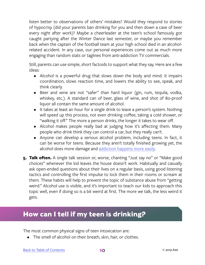<span id="page-11-0"></span>listen better to observations of others' mistakes? Would they respond to stories of hypocrisy (did your parents ban drinking for you and then down a case of beer every night after work)? Maybe a cheerleader at the teen's school famously got caught partying after the Winter Dance last semester, or maybe you remember back when the captain of the football team at your high school died in an alcoholrelated accident. In any case, our personal experiences come out as much more engaging than random stats or taglines from anti-addiction TV commercials.

Still, parents can use simple, short factoids to support what they say. Here are a few ideas:

- Alcohol is a powerful drug that slows down the body and mind. It impairs coordination, slows reaction time, and lowers the ability to see, speak, and think clearly.
- Beer and wine are not "safer" than hard liquor (gin, rum, tequila, vodka, whiskey, etc.). A standard can of beer, glass of wine, and shot of 80-proof liquor all contain the same amount of alcohol.
- It takes at least an hour for a single drink to leave a person's system. Nothing will speed up this process, not even drinking coffee, taking a cold shower, or "walking it off." The more a person drinks, the longer it takes to wear off.
- Alcohol makes people really bad at judging how it's affecting them. Many people who drink think they can control a car, but they really can't.
- Anyone can develop a serious alcohol problem, including teens. In fact, it can be worse for teens. Because they aren't totally finished growing yet, the alcohol does more damage and [addiction happens more easily](https://pubs.niaaa.nih.gov/publications/makeadiff_html/makediff.htm).
- **5. Talk often.** A single talk session or, worse, chanting "Just say no" or "Make good choices" whenever the kid leaves the house doesn't work. Habitually and casually ask open-ended questions about their lives on a regular basis, using good listening tactics and controlling the first impulse to lock them in their rooms or scream at them. These habits will help to prevent the topic of substance abuse from "getting weird." Alcohol use is visible, and it's important to teach our kids to approach this topic well, even if doing so is a bit weird at first. The more we talk, the less weird it gets.

#### **How can I tell if my teen is drinking?**

The most common physical signs of teen intoxication are:

• The smell of alcohol on their breath, skin, hair, or clothes.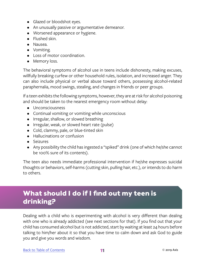- <span id="page-12-0"></span>• Glazed or bloodshot eyes.
- An unusually passive or argumentative demeanor.
- Worsened appearance or hygiene.
- Flushed skin.
- Nausea.
- Vomiting.
- Loss of motor coordination.
- Memory loss.

The behavioral symptoms of alcohol use in teens include dishonesty, making excuses, willfully breaking curfew or other household rules, isolation, and increased anger. They can also include physical or verbal abuse toward others, possessing alcohol-related paraphernalia, mood swings, stealing, and changes in friends or peer groups.

If a teen exhibits the following symptoms, however, they are at risk for alcohol poisoning and should be taken to the nearest emergency room without delay:

- Unconsciousness
- Continual vomiting or vomiting while unconscious
- Irregular, shallow, or slowed breathing
- Irregular, weak, or slowed heart rate (pulse)
- Cold, clammy, pale, or blue-tinted skin
- Hallucinations or confusion
- Seizures
- Any possibility the child has ingested a "spiked" drink (one of which he/she cannot be 100% sure of its contents).

The teen also needs immediate professional intervention if he/she expresses suicidal thoughts or behaviors, self-harms (cutting skin, pulling hair, etc.), or intends to do harm to others.

# **What should I do if I find out my teen is drinking?**

Dealing with a child who is experimenting with alcohol is very different than dealing with one who is already addicted (see next sections for that). If you find out that your child has consumed alcohol but is not addicted, start by waiting at least 24 hours before talking to him/her about it so that you have time to calm down and ask God to guide you and give you words and wisdom.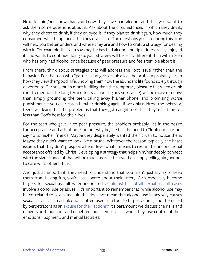Next, let him/her know that you know they have had alcohol and that you want to ask them some questions about it. Ask about the circumstances in which they drank, why they chose to drink, if they enjoyed it, if they plan to drink again, how much they consumed, what happened after they drank, etc. The questions you ask during this time will help you better understand where they are and how to craft a strategy for dealing with it. For example, if a teen says he/she has had alcohol multiple times, really enjoyed it, and wants to continue doing so, your strategy will be really different than with a teen who has only had alcohol once because of peer pressure and feels terrible about it.

From there, think about strategies that will address the root issue rather than the behavior. For the teen who "parties" and gets drunk a lot, the problem probably lies in how they view the "good" life. Showing them how the abundant life found solely through devotion to Christ is much more fulfilling than the temporary pleasure felt when drunk (not to mention the long-term effects of abusing any substance) will be more effective than simply grounding the teen, taking away his/her phone, and promising worse punishment if you ever catch him/her drinking again. If we only address the behavior, teens will learn that the problem is that they got caught, not that they're settling for less than God's best for their lives.

For the teen who gave in to peer pressure, the problem probably lies in the desire for acceptance and attention. Find out why he/she felt the need to "look cool" or not say no to his/her friends. Maybe they desperately wanted their crush to notice them. Maybe they didn't want to look like a prude. Whatever the reason, typically the heart issue is that they don't grasp on a heart level what it means to rest in the unconditional acceptance offered by Christ. Developing a strategy that helps him/her deeply connect with the significance of that will be much more effective than simply telling him/her not to care what others think.

And, just as important, they need to understand that you aren't just trying to keep them from having fun, you're passionate about their safety. Girls especially become targets for sexual assault when inebriated, as [almost half of all sexual assault cases](https://www.theglobeandmail.com/news/investigations/unfounded-too-drunk-to-consent-how-alcohol-complicates-sex-assault-cases/article34338370/) involve alcohol use or abuse. "It's important to remember that, while alcohol use may be correlated to sexual assault, this does not mean that alcohol use in any way causes sexual assault. Instead, alcohol is often used as a tool to target victims, and then used by perpetrators as an [excuse for their actions](https://sapac.umich.edu/article/50)." It's paramount we discuss the risks and dangers both our sons and daughters put themselves in when they lose control of their emotions, judgment, and mental faculties.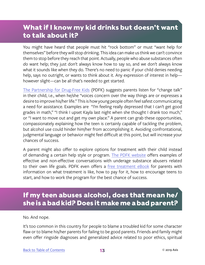### <span id="page-14-0"></span>**What if I know my kid drinks but doesn't want to talk about it?**

You might have heard that people must hit "rock bottom" or must "want help for themselves" before they will stop drinking. This idea can make us think we can't convince them to stop before they reach that point. Actually, people who abuse substances often *do* want help; they just don't always know how to say so, and we don't always know what it sounds like when they do. There's no need to panic if your child denies needing help, says no outright, or wants to think about it. Any expression of interest in help however slight—can be all that's needed to get started.

[The Partnership for Drug-Free Kids](https://drugfree.org/article/suggesting-treatment/) (PDFK) suggests parents listen for "change talk" in their child, i.e., when he/she "voices concern over the way things are or expresses a desire to improve his/her life." This is how young people often feel safest communicating a need for assistance. Examples are "I'm feeling really depressed that I can't get good grades in math," "I think I upset Kayla last night when she thought I drank too much," or "I want to move out and get my own place." A parent can grab these opportunities, compassionately explaining how the teen is certainly capable of tackling the problem, but alcohol use could hinder him/her from accomplishing it. Avoiding confrontational, judgmental language or behavior might feel difficult at this point, but will increase your chances of success.

A parent might also offer to explore options for treatment with their child instead of demanding a certain help style or program. [The PDFK website](https://drugfree.org/article/suggesting-treatment/) offers examples of effective and non-effective conversations with underage substance abusers related to their own life goals. PDFK even offers a [free treatment eBook](https://drugfree.org/download/treatment-ebook/) for parents with information on what treatment is like, how to pay for it, how to encourage teens to start, and how to work the program for the best chance of success.

# **If my teen abuses alcohol, does that mean he/ she is a bad kid? Does it make me a bad parent?**

No. And nope.

It's too common in this country for people to blame a troubled kid for some character flaw or to blame his/her parents for failing to be good parents. Friends and family might even offer ringside diagnoses and generalized advice related to poor ethics, spiritual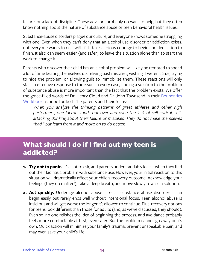<span id="page-15-0"></span>failure, or a lack of discipline. These advisors probably do want to help, but they often know nothing about the nature of substance abuse or teen behavioral health issues.

Substance-abuse disorders plague our culture, and everyone knows someone struggling with one. Even when they can't deny that an alcohol use disorder or addiction exists, not everyone wants to deal with it. It takes serious courage to begin and dedication to finish. It also can seem easier (and safer) to leave the situation alone than to start the work to change it.

Parents who discover their child has an alcohol problem will likely be tempted to spend a lot of time beating themselves up, reliving past mistakes, wishing it weren't true, trying to hide the problem, or allowing guilt to immobilize them. These reactions will only stall an effective response to the issue. In every case, finding a solution to the problem of substance abuse is more important than the fact that the problem exists. We offer the grace-filled words of Dr. Henry Cloud and Dr. John Townsend in their [Boundaries](https://www.amazon.com/Boundaries-Workbook-When-Take-Control/dp/0310494818)  [Workbook](https://www.amazon.com/Boundaries-Workbook-When-Take-Control/dp/0310494818) as hope for both the parents and their teens:

*When you analyze the thinking patterns of great athletes and other high performers, one factor stands out over and over: the lack of self-critical, selfattacking thinking about their failure or mistakes. They do not make themselves "bad," but learn from it and move on to do better.*

# **What should I do if I find out my teen is addicted?**

- **1. Try not to panic.** It's a lot to ask, and parents understandably lose it when they find out their kid has a problem with substance use. However, your initial reaction to this situation will dramatically affect your child's recovery outcome. Acknowledge your feelings (they do matter!), take a deep breath, and move slowly toward a solution.
- **2. Act quickly.** Underage alcohol abuse—like all substance abuse disorders—can begin easily but rarely ends well without intentional focus. Teen alcohol abuse is insidious and will get worse the longer it's allowed to continue. Plus, recovery options for teens look different than those for adults (and, as we've discussed, they should). Even so, no one relishes the idea of beginning the process, and avoidance probably feels more comfortable at first, even safer. But the problem cannot go away on its own. Quick action will minimize your family's trauma, prevent unspeakable pain, and may even save your child's life.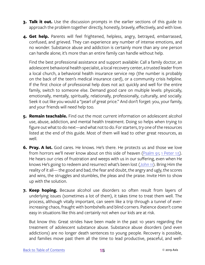- **3. Talk it out.** Use the discussion prompts in the earlier sections of this guide to approach the problem together directly, honestly, bravely, effectively, and with love.
- **4. Get help.** Parents will feel frightened, helpless, angry, betrayed, embarrassed, confused, and grieved. They can experience any number of intense emotions, and no wonder. Substance abuse and addiction is certainly more than any one person can handle alone; it's more than an entire family can handle without help.

Find the best professional assistance and support available: Call a family doctor, an adolescent behavioral health specialist, a local recovery center, a trusted leader from a local church, a behavioral health insurance service rep (the number is probably on the back of the teen's medical insurance card), or a community crisis helpline. If the first choice of professional help does not act quickly and well for the entire family, switch to someone else. Demand good care on multiple levels: physically, emotionally, mentally, spiritually, relationally, professionally, culturally, and socially. Seek it out like you would a "pearl of great price." And don't forget: you, your family, and your friends will need help too.

- **5. Remain teachable.** Find out the most current information on adolescent alcohol use, abuse, addiction, and mental health treatment. Doing so helps when trying to figure out what to do next—and what not to do. For starters, try one of the resources listed at the end of this guide. Most of them will lead to other great resources, as well.
- **6. Pray. A lot.** God cares. He knows. He's there. He protects us and those we love from horrors we'll never know about on this side of heaven [\(Psalm 91](https://www.biblegateway.com/passage/?search=Psalm+91&version=NIV); [1 Peter 1:5](https://www.biblegateway.com/passage/?search=1+pet+1%3A5&version=NIV)). He hears our cries of frustration and weeps with us in our suffering, even when He knows He's going to redeem and resurrect what's been lost [\(John 11\)](https://www.biblegateway.com/passage/?search=john+11&version=NIV). Bring Him the reality of it all— the good and bad, the fear and doubt, the angry and ugly, the scores and wins, the struggles and stumbles, the pleas and the praise. Invite Him to show up with the solution.
- **7. Keep hoping.** Because alcohol use disorders so often result from layers of underlying issues (sometimes a lot of them), it takes time to treat them well. The process, although vitally important, can seem like a trip through a tunnel of everincreasing chaos, fraught with bombshells and blind corners. Patience doesn't come easy in situations like this and certainly not when our kids are at risk.

But know this: Great strides have been made in the past 10 years regarding the treatment of adolescent substance abuse. Substance abuse disorders (and even addictions) are no longer death sentences to young people. Recovery is possible, and families move past them all the time to lead productive, peaceful, and well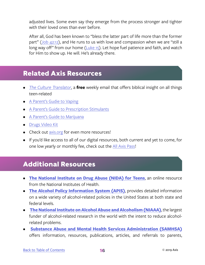<span id="page-17-0"></span>adjusted lives. Some even say they emerge from the process stronger and tighter with their loved ones than ever before.

After all, God has been known to "bless the latter part of life more than the former part" [\(Job 42:12\)](https://www.biblegateway.com/passage/?search=job+42%3A12&version=NIV), and He runs to us with love and compassion when we are "still a long way off" from our home [\(Luke 15](https://www.biblegateway.com/passage/?search=luke+15&version=NIV)). Let hope fuel patience and faith, and watch for Him to show up. He will. He's already there.

#### **Related Axis Resources**

- *• [The Culture Translator](http://axis.org/ct)*, a **free** weekly email that offers biblical insight on all things teen-related
- [A Parent's Gudie to Vaping](https://axis.org/product/membership-product-for-vaping-juuling/)
- [A Parent's Guide to Prescription Stimulants](https://axis.org/product/a-parents-guide-to-prescription-stimulants/)
- [A Parent's Guide to Marijuana](https://axis.org/product/membership-product-for-marijuana/)
- [Drugs Video Kit](https://axis.org/product/drugs/)
- Check out [axis.org](https://axis.org) for even more resources!
- If you'd like access to all of our digital resources, both current and yet to come, for one low yearly or monthly fee, check out the [All Axis Pass](https://axis.org/aap)!

### **Additional Resources**

- **• [The National Institute on Drug Abuse \(NIDA\) for Teens](https://teens.drugabuse.gov/drug-facts/alcohol)**, an online resource from the National Institutes of Health.
- **• [The Alcohol Policy Information System \(APIS\)](https://alcoholpolicy.niaaa.nih.gov/)**, provides detailed information on a wide variety of alcohol-related policies in the United States at both state and federal levels.
- **[The National Institute on Alcohol Abuse and Alcoholism \(NIAAA\)](https://www.niaaa.nih.gov/)**, the largest funder of alcohol-related research in the world with the intent to reduce alcoholrelated problems.
- **[Substance Abuse and Mental Health Services Administration \(SAMHSA\)](https://www.samhsa.gov/underage-drinking)** offers information, resources, publications, articles, and referrals to parents,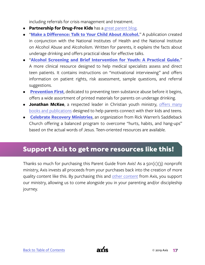including referrals for crisis management and treatment.

- **• Partnership for Drug-Free Kids** has a [great parent blog.](https://drugfree.org/parent-blog/)
- "**[Make a Difference: Talk to Your Child About Alcohol.](https://pubs.niaaa.nih.gov/publications/makeadiff_html/makediff.htm)**" A publication created in conjunction with the National Institutes of Health and the National Institute on Alcohol Abuse and Alcoholism. Written for parents, it explains the facts about underage drinking and offers practical ideas for effective talks.
- "**[Alcohol Screening and Brief Intervention for Youth: A Practical Guide.](https://pubs.niaaa.nih.gov/publications/Practitioner/YouthGuide/YouthGuide.pdf)**" A more clinical resource designed to help medical specialists assess and direct teen patients. It contains instructions on "motivational interviewing" and offers information on patient rights, risk assessment, sample questions, and referral suggestions.
- **• [Prevention First](https://www.prevention.org/Virtual-Clearinghouse/Underage-Drinking/)**, dedicated to preventing teen substance abuse before it begins, offers a wide assortment of printed materials for parents on underage drinking.
- **•** Jonathan McKee, a respected leader in Christian youth ministry, [offers many](http://www.jonathansresources.com/ProductList.aspx) [books and publications](http://www.jonathansresources.com/ProductList.aspx) designed to help parents connect with their kids and teens.
- **C[elebrate Recovery Ministries](http://www.celebraterecovery.com/)**, an organization from Rick Warren's Saddleback Church offering a balanced program to overcome "hurts, habits, and hang-ups" based on the actual words of Jesus. Teen-oriented resources are available.

#### **Support Axis to get more resources like this!**

Thanks so much for purchasing this Parent Guide from Axis! As a  $501(c)(3)$  nonprofit ministry, Axis invests all proceeds from your purchases back into the creation of more quality content like this. By purchasing this and [other content](https://axis.org) from Axis, you support our ministry, allowing us to come alongside you in your parenting and/or discipleship journey.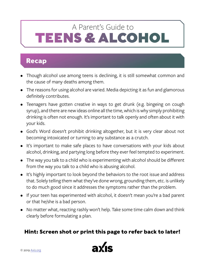# <span id="page-19-0"></span>TEENS & ALCOHOL A Parent's Guide to

#### **Recap**

- Though alcohol use among teens is declining, it is still somewhat common and the cause of many deaths among them.
- The reasons for using alcohol are varied. Media depicting it as fun and glamorous definitely contributes.
- Teenagers have gotten creative in ways to get drunk (e.g. bingeing on cough syrup), and there are new ideas online all the time, which is why simply prohibiting drinking is often not enough. It's important to talk openly and often about it with your kids.
- God's Word doesn't prohibit drinking altogether, but it is very clear about not becoming intoxicated or turning to any substance as a crutch.
- It's important to make safe places to have conversations with your kids about alcohol, drinking, and partying long before they ever feel tempted to experiment.
- The way you talk to a child who is experimenting with alcohol should be different from the way you talk to a child who is abusing alcohol.
- It's highly important to look beyond the behaviors to the root issue and address that. Solely telling them what they've done wrong, grounding them, etc. is unlikely to do much good since it addresses the symptoms rather than the problem.
- If your teen has experimented with alcohol, it doesn't mean you're a bad parent or that he/she is a bad person.
- No matter what, reacting rashly won't help. Take some time calm down and think clearly before formulating a plan.

#### **Hint: Screen shot or print this page to refer back to later!**